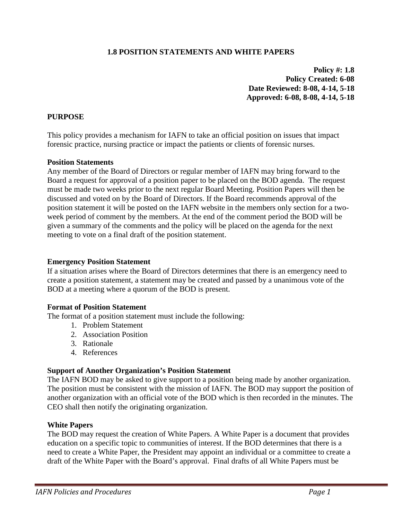# **1.8 POSITION STATEMENTS AND WHITE PAPERS**

**Policy #: 1.8 Policy Created: 6-08 Date Reviewed: 8-08, 4-14, 5-18 Approved: 6-08, 8-08, 4-14, 5-18**

## **PURPOSE**

This policy provides a mechanism for IAFN to take an official position on issues that impact forensic practice, nursing practice or impact the patients or clients of forensic nurses.

### **Position Statements**

Any member of the Board of Directors or regular member of IAFN may bring forward to the Board a request for approval of a position paper to be placed on the BOD agenda. The request must be made two weeks prior to the next regular Board Meeting. Position Papers will then be discussed and voted on by the Board of Directors. If the Board recommends approval of the position statement it will be posted on the IAFN website in the members only section for a twoweek period of comment by the members. At the end of the comment period the BOD will be given a summary of the comments and the policy will be placed on the agenda for the next meeting to vote on a final draft of the position statement.

### **Emergency Position Statement**

If a situation arises where the Board of Directors determines that there is an emergency need to create a position statement, a statement may be created and passed by a unanimous vote of the BOD at a meeting where a quorum of the BOD is present.

### **Format of Position Statement**

The format of a position statement must include the following:

- 1. Problem Statement
- 2. Association Position
- 3. Rationale
- 4. References

### **Support of Another Organization's Position Statement**

The IAFN BOD may be asked to give support to a position being made by another organization. The position must be consistent with the mission of IAFN. The BOD may support the position of another organization with an official vote of the BOD which is then recorded in the minutes. The CEO shall then notify the originating organization.

### **White Papers**

The BOD may request the creation of White Papers. A White Paper is a document that provides education on a specific topic to communities of interest. If the BOD determines that there is a need to create a White Paper, the President may appoint an individual or a committee to create a draft of the White Paper with the Board's approval. Final drafts of all White Papers must be